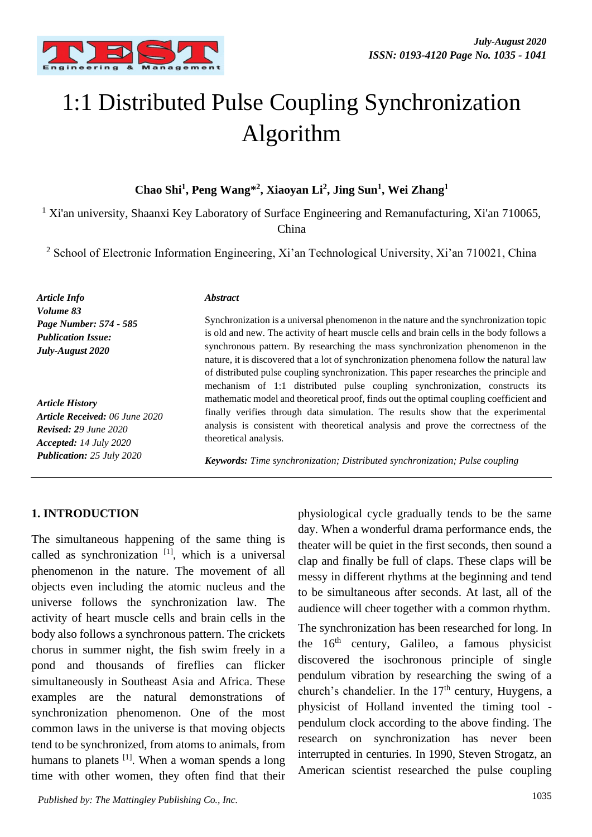

# 1:1 Distributed Pulse Coupling Synchronization Algorithm

### **Chao Shi<sup>1</sup> , Peng Wang\*<sup>2</sup> , Xiaoyan Li<sup>2</sup> , Jing Sun<sup>1</sup> , Wei Zhang<sup>1</sup>**

<sup>1</sup> Xi'an university, Shaanxi Key Laboratory of Surface Engineering and Remanufacturing, Xi'an 710065, China

<sup>2</sup> School of Electronic Information Engineering, Xi'an Technological University, Xi'an 710021, China

*Article Info Volume 83 Page Number: 574 - 585 Publication Issue: July-August 2020*

*Article History Article Received: 06 June 2020 Revised: 29 June 2020 Accepted: 14 July 2020 Publication: 25 July 2020*

#### *Abstract*

Synchronization is a universal phenomenon in the nature and the synchronization topic is old and new. The activity of heart muscle cells and brain cells in the body follows a synchronous pattern. By researching the mass synchronization phenomenon in the nature, it is discovered that a lot of synchronization phenomena follow the natural law of distributed pulse coupling synchronization. This paper researches the principle and mechanism of 1:1 distributed pulse coupling synchronization, constructs its mathematic model and theoretical proof, finds out the optimal coupling coefficient and finally verifies through data simulation. The results show that the experimental analysis is consistent with theoretical analysis and prove the correctness of the theoretical analysis.

*Keywords: Time synchronization; Distributed synchronization; Pulse coupling*

#### **1. INTRODUCTION**

The simultaneous happening of the same thing is called as synchronization  $[1]$ , which is a universal phenomenon in the nature. The movement of all objects even including the atomic nucleus and the universe follows the synchronization law. The activity of heart muscle cells and brain cells in the body also follows a synchronous pattern. The crickets chorus in summer night, the fish swim freely in a pond and thousands of fireflies can flicker simultaneously in Southeast Asia and Africa. These examples are the natural demonstrations of synchronization phenomenon. One of the most common laws in the universe is that moving objects tend to be synchronized, from atoms to animals, from humans to planets <sup>[1]</sup>. When a woman spends a long time with other women, they often find that their

physiological cycle gradually tends to be the same day. When a wonderful drama performance ends, the theater will be quiet in the first seconds, then sound a clap and finally be full of claps. These claps will be messy in different rhythms at the beginning and tend to be simultaneous after seconds. At last, all of the audience will cheer together with a common rhythm.

The synchronization has been researched for long. In the  $16<sup>th</sup>$  century, Galileo, a famous physicist discovered the isochronous principle of single pendulum vibration by researching the swing of a church's chandelier. In the  $17<sup>th</sup>$  century, Huygens, a physicist of Holland invented the timing tool pendulum clock according to the above finding. The research on synchronization has never been interrupted in centuries. In 1990, Steven Strogatz, an American scientist researched the pulse coupling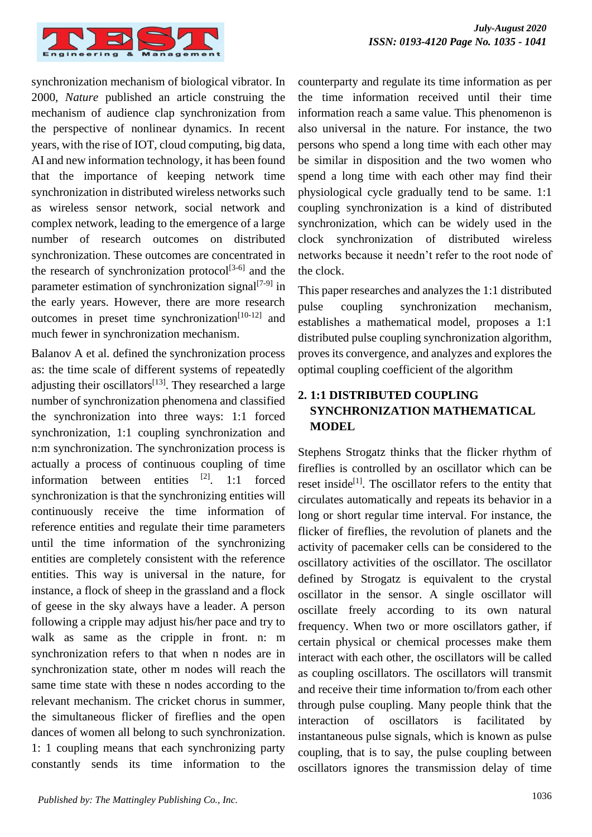

synchronization mechanism of biological vibrator. In 2000, *Nature* published an article construing the mechanism of audience clap synchronization from the perspective of nonlinear dynamics. In recent years, with the rise of IOT, cloud computing, big data, AI and new information technology, it has been found that the importance of keeping network time synchronization in distributed wireless networks such as wireless sensor network, social network and complex network, leading to the emergence of a large number of research outcomes on distributed synchronization. These outcomes are concentrated in the research of synchronization protocol<sup>[3-6]</sup> and the parameter estimation of synchronization signal $[7-9]$  in the early years. However, there are more research outcomes in preset time synchronization<sup>[10-12]</sup> and much fewer in synchronization mechanism.

Balanov A et al. defined the synchronization process as: the time scale of different systems of repeatedly adjusting their oscillators $[13]$ . They researched a large number of synchronization phenomena and classified the synchronization into three ways: 1:1 forced synchronization, 1:1 coupling synchronization and n:m synchronization. The synchronization process is actually a process of continuous coupling of time information between entities  $[2]$ . 1:1 forced synchronization is that the synchronizing entities will continuously receive the time information of reference entities and regulate their time parameters until the time information of the synchronizing entities are completely consistent with the reference entities. This way is universal in the nature, for instance, a flock of sheep in the grassland and a flock of geese in the sky always have a leader. A person following a cripple may adjust his/her pace and try to walk as same as the cripple in front. n: m synchronization refers to that when n nodes are in synchronization state, other m nodes will reach the same time state with these n nodes according to the relevant mechanism. The cricket chorus in summer, the simultaneous flicker of fireflies and the open dances of women all belong to such synchronization. 1: 1 coupling means that each synchronizing party constantly sends its time information to the

counterparty and regulate its time information as per the time information received until their time information reach a same value. This phenomenon is also universal in the nature. For instance, the two persons who spend a long time with each other may be similar in disposition and the two women who spend a long time with each other may find their physiological cycle gradually tend to be same. 1:1 coupling synchronization is a kind of distributed synchronization, which can be widely used in the clock synchronization of distributed wireless networks because it needn't refer to the root node of the clock.

This paper researches and analyzes the 1:1 distributed pulse coupling synchronization mechanism, establishes a mathematical model, proposes a 1:1 distributed pulse coupling synchronization algorithm, proves its convergence, and analyzes and explores the optimal coupling coefficient of the algorithm

# **2. 1:1 DISTRIBUTED COUPLING SYNCHRONIZATION MATHEMATICAL MODEL**

Stephens Strogatz thinks that the flicker rhythm of fireflies is controlled by an oscillator which can be reset inside<sup>[1]</sup>. The oscillator refers to the entity that circulates automatically and repeats its behavior in a long or short regular time interval. For instance, the flicker of fireflies, the revolution of planets and the activity of pacemaker cells can be considered to the oscillatory activities of the oscillator. The oscillator defined by Strogatz is equivalent to the crystal oscillator in the sensor. A single oscillator will oscillate freely according to its own natural frequency. When two or more oscillators gather, if certain physical or chemical processes make them interact with each other, the oscillators will be called as coupling oscillators. The oscillators will transmit and receive their time information to/from each other through pulse coupling. Many people think that the interaction of oscillators is facilitated by instantaneous pulse signals, which is known as pulse coupling, that is to say, the pulse coupling between oscillators ignores the transmission delay of time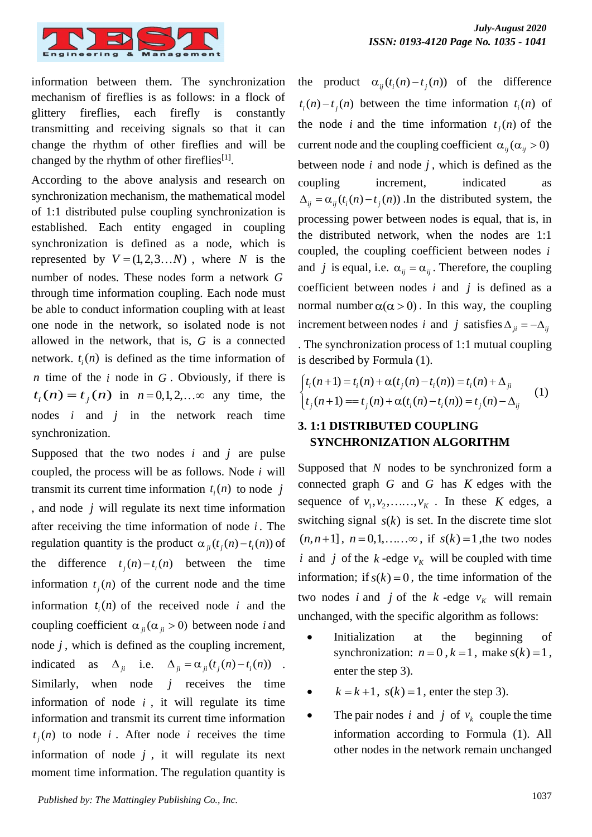

information between them. The synchronization mechanism of fireflies is as follows: in a flock of glittery fireflies, each firefly is constantly transmitting and receiving signals so that it can change the rhythm of other fireflies and will be changed by the rhythm of other fireflies<sup>[1]</sup>.

According to the above analysis and research on synchronization mechanism, the mathematical model of 1:1 distributed pulse coupling synchronization is established. Each entity engaged in coupling synchronization is defined as a node, which is represented by  $V = (1, 2, 3, \dots N)$ , where N is the number of nodes. These nodes form a network *G* through time information coupling. Each node must be able to conduct information coupling with at least one node in the network, so isolated node is not allowed in the network, that is, *G* is a connected network.  $t_i(n)$  is defined as the time information of *n* time of the  $i$  node in  $G$ . Obviously, if there is  $t_i(n) = t_j(n)$  in  $n = 0, 1, 2, ... \infty$  any time, the nodes *i* and *j* in the network reach time synchronization.

Supposed that the two nodes  $i$  and  $j$  are pulse coupled, the process will be as follows. Node *i* will transmit its current time information  $t_i(n)$  to node j , and node *j* will regulate its next time information after receiving the time information of node *i* . The regulation quantity is the product  $\alpha_{ji}(t_j(n) - t_i(n))$  of the difference  $t_j(n) - t_i(n)$  between the time information  $t_j(n)$  of the current node and the time information  $t_i(n)$  of the received node *i* and the coupling coefficient  $\alpha_{ji}(\alpha_{ji} > 0)$  between node *i* and node  $j$ , which is defined as the coupling increment, indicated as  $\Delta_{ji}$  i.e.  $\Delta_{ji} = \alpha_{ji}(t_j(n) - t_i(n))$ . Similarly, when node  $j$  receives the time information of node  $i$ , it will regulate its time information and transmit its current time information  $t_j(n)$  to node *i*. After node *i* receives the time information of node  $j$ , it will regulate its next moment time information. The regulation quantity is

the product  $\alpha_{ij}(t_i(n) - t_j(n))$  of the difference  $t_i(n) - t_j(n)$  between the time information  $t_i(n)$  of the node *i* and the time information  $t_j(n)$  of the current node and the coupling coefficient  $\alpha_{ij}(\alpha_{ij} > 0)$ between node  $i$  and node  $j$ , which is defined as the coupling increment, indicated as  $\Delta_{ij} = \alpha_{ij} (t_i(n) - t_j(n))$ . In the distributed system, the processing power between nodes is equal, that is, in the distributed network, when the nodes are 1:1 coupled, the coupling coefficient between nodes *i* and *j* is equal, i.e.  $\alpha_{ij} = \alpha_{ij}$ . Therefore, the coupling coefficient between nodes  $i$  and  $j$  is defined as a normal number  $\alpha(\alpha > 0)$ . In this way, the coupling increment between nodes *i* and *j* satisfies  $\Delta_{ji} = -\Delta_{ij}$ . The synchronization process of 1:1 mutual coupling is described by Formula (1).

$$
\begin{cases} t_i(n+1) = t_i(n) + \alpha(t_j(n) - t_i(n)) = t_i(n) + \Delta_{ji} \\ t_j(n+1) = t_j(n) + \alpha(t_i(n) - t_i(n)) = t_j(n) - \Delta_{ij} \end{cases}
$$
 (1)

#### **3. 1:1 DISTRIBUTED COUPLING SYNCHRONIZATION ALGORITHM**

Supposed that *N* nodes to be synchronized form a connected graph  $G$  and  $G$  has  $K$  edges with the sequence of  $v_1, v_2, \ldots, v_k$ . In these *K* edges, a switching signal  $s(k)$  is set. In the discrete time slot  $(n, n+1]$ ,  $n = 0, 1, \ldots \infty$ , if  $s(k) = 1$ , the two nodes *i* and *j* of the *k*-edge  $v_k$  will be coupled with time information; if  $s(k) = 0$ , the time information of the two nodes *i* and *j* of the *k*-edge  $v_K$  will remain unchanged, with the specific algorithm as follows:

- Initialization at the beginning of synchronization:  $n = 0$ ,  $k = 1$ , make  $s(k) = 1$ , enter the step 3).
- $k = k+1$ ,  $s(k) = 1$ , enter the step 3).
- The pair nodes *i* and *j* of  $v_k$  couple the time information according to Formula (1). All other nodes in the network remain unchanged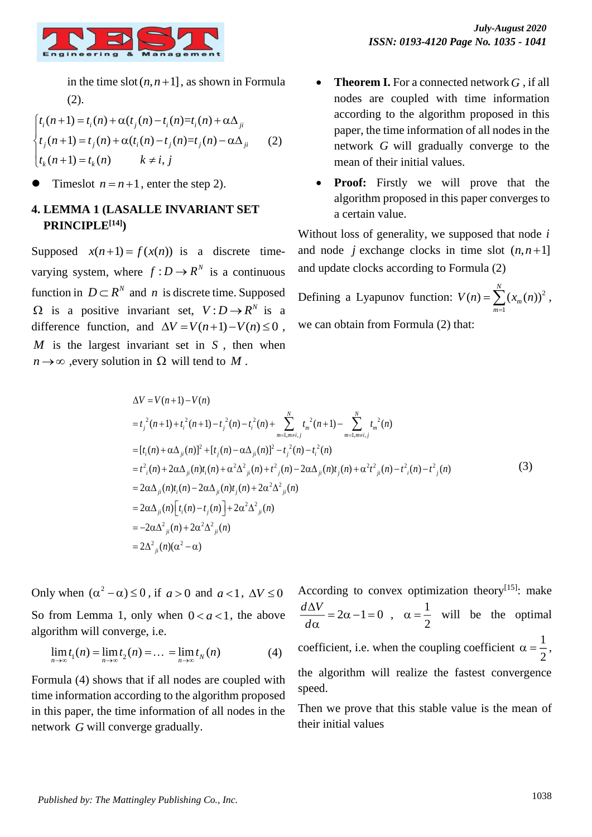

in the time  $slot(n, n+1]$ , as shown in Formula (2).

$$
\begin{cases}\nt_i(n+1) = t_i(n) + \alpha(t_j(n) - t_i(n)) = t_i(n) + \alpha\Delta_{ji} \\
t_j(n+1) = t_j(n) + \alpha(t_i(n) - t_j(n)) = t_j(n) - \alpha\Delta_{ji} \\
t_k(n+1) = t_k(n) \quad k \neq i, j\n\end{cases}
$$
\n(2)

 $\bullet$  Timeslot  $n = n+1$ , enter the step 2).

#### **4. LEMMA 1 (LASALLE INVARIANT SET PRINCIPLE[14])**

Supposed  $x(n+1) = f(x(n))$  is a discrete timevarying system, where  $f: D \to R^N$  is a continuous function in  $D \subset R^N$  and *n* is discrete time. Supposed  $\Omega$  is a positive invariant set,  $V: D \rightarrow R^N$  is a difference function, and  $\Delta V = V(n+1) - V(n) \le 0$ ,  $M$  is the largest invariant set in  $S$ , then when  $n \rightarrow \infty$ , every solution in  $\Omega$  will tend to M.

- **Theorem I.** For a connected network  $G$ , if all nodes are coupled with time information according to the algorithm proposed in this paper, the time information of all nodes in the network *G* will gradually converge to the mean of their initial values.
- **Proof:** Firstly we will prove that the algorithm proposed in this paper converges to a certain value.

Without loss of generality, we supposed that node *i* and node *j* exchange clocks in time slot  $(n, n+1]$ and update clocks according to Formula (2)

Defining a Lyapunov function:  $V(n) = \sum (x_m(n))^2$ 1 *N*  $V(n) = \sum (x_m(n))^2$ , *m* we can obtain from Formula (2) that:

$$
\Delta V = V(n+1) - V(n)
$$
  
\n
$$
= t_j^2 (n+1) + t_i^2 (n+1) - t_j^2 (n) - t_i^2 (n) + \sum_{m=1, m \neq i, j}^N t_m^2 (n+1) - \sum_{m=1, m \neq i, j}^N t_m^2 (n)
$$
  
\n
$$
= [t_i(n) + \alpha \Delta_{ji}(n)]^2 + [t_j(n) - \alpha \Delta_{ji}(n)]^2 - t_j^2 (n) - t_i^2 (n)
$$
  
\n
$$
= t^2_i(n) + 2\alpha \Delta_{ji}(n)t_i(n) + \alpha^2 \Delta_{ji}^2 (n) + t^2_j(n) - 2\alpha \Delta_{ji}(n)t_j(n) + \alpha^2 t^2_{ji}(n) - t^2_j(n) - t^2_j(n)
$$
  
\n
$$
= 2\alpha \Delta_{ji}(n)t_i(n) - 2\alpha \Delta_{ji}(n)t_j(n) + 2\alpha^2 \Delta_{ji}^2(n)
$$
  
\n
$$
= 2\alpha \Delta_{ji}(n) \Big[ t_i(n) - t_j(n) \Big] + 2\alpha^2 \Delta_{ji}(n)
$$
  
\n
$$
= -2\alpha \Delta_{ji}^2(n) + 2\alpha^2 \Delta_{ji}(n)
$$
  
\n
$$
= 2\Delta_{ji}^2(n)(\alpha^2 - \alpha)
$$
  
\n(3)

Only when  $(\alpha^2 - \alpha) \le 0$ , if  $a > 0$  and  $a < 1$ ,  $\Delta V \le 0$ So from Lemma 1, only when  $0 < a < 1$ , the above algorithm will converge, i.e.

$$
\lim_{n \to \infty} t_1(n) = \lim_{n \to \infty} t_2(n) = \dots = \lim_{n \to \infty} t_N(n)
$$
 (4)

Formula (4) shows that if all nodes are coupled with time information according to the algorithm proposed in this paper, the time information of all nodes in the network *G* will converge gradually.

According to convex optimization theory<sup>[15]</sup>: make  $\frac{d\Delta V}{dt} = 2\alpha - 1 = 0$ *d*  $\frac{\Delta V}{\Delta t} = 2\alpha - 1 =$  $\frac{\Delta V}{\alpha} = 2\alpha - 1 = 0 \quad , \quad \alpha = \frac{1}{2}$ 2  $\alpha = \frac{1}{2}$  will be the optimal coefficient, i.e. when the coupling coefficient  $\alpha = \frac{1}{2}$  $\alpha = \frac{1}{2},$ the algorithm will realize the fastest convergence speed.

Then we prove that this stable value is the mean of their initial values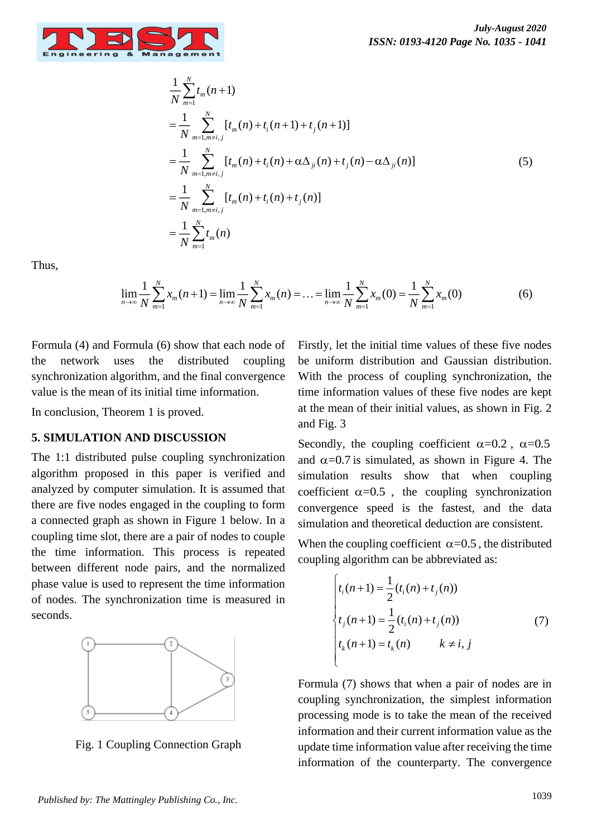

1

*N*

$$
\frac{1}{N} \sum_{m=1}^{N} t_m(n+1)
$$
\n
$$
= \frac{1}{N} \sum_{m=1, m \neq i, j}^{N} [t_m(n) + t_i(n+1) + t_j(n+1)]
$$
\n
$$
= \frac{1}{N} \sum_{m=1, m \neq i, j}^{N} [t_m(n) + t_i(n) + \alpha \Delta_{ji}(n) + t_j(n) - \alpha \Delta_{ji}(n)]
$$
\n
$$
= \frac{1}{N} \sum_{m=1, m \neq i, j}^{N} [t_m(n) + t_i(n) + t_j(n)]
$$
\n
$$
= \frac{1}{N} \sum_{m=1}^{N} t_m(n)
$$
\n(5)

Thus,

$$
\lim_{n \to \infty} \frac{1}{N} \sum_{m=1}^{N} x_m(n+1) = \lim_{n \to \infty} \frac{1}{N} \sum_{m=1}^{N} x_m(n) = \dots = \lim_{n \to \infty} \frac{1}{N} \sum_{m=1}^{N} x_m(0) = \frac{1}{N} \sum_{m=1}^{N} x_m(0)
$$
(6)

Formula (4) and Formula (6) show that each node of the network uses the distributed coupling synchronization algorithm, and the final convergence value is the mean of its initial time information.

In conclusion, Theorem 1 is proved.

#### **5. SIMULATION AND DISCUSSION**

The 1:1 distributed pulse coupling synchronization algorithm proposed in this paper is verified and analyzed by computer simulation. It is assumed that there are five nodes engaged in the coupling to form a connected graph as shown in Figure 1 below. In a coupling time slot, there are a pair of nodes to couple the time information. This process is repeated between different node pairs, and the normalized phase value is used to represent the time information of nodes. The synchronization time is measured in seconds.



Fig. 1 Coupling Connection Graph

Firstly, let the initial time values of these five nodes be uniform distribution and Gaussian distribution. With the process of coupling synchronization, the time information values of these five nodes are kept at the mean of their initial values, as shown in Fig. 2 and Fig. 3

Secondly, the coupling coefficient  $\alpha=0.2$ ,  $\alpha=0.5$ and  $\alpha$ =0.7 is simulated, as shown in Figure 4. The simulation results show that when coupling coefficient  $\alpha$ =0.5, the coupling synchronization convergence speed is the fastest, and the data simulation and theoretical deduction are consistent.

When the coupling coefficient  $\alpha = 0.5$ , the distributed coupling algorithm can be abbreviated as:

$$
\begin{cases}\nt_i(n+1) = \frac{1}{2}(t_i(n) + t_j(n)) \\
t_j(n+1) = \frac{1}{2}(t_i(n) + t_j(n)) \\
t_k(n+1) = t_k(n) \qquad k \neq i, j\n\end{cases}
$$
\n(7)

Formula (7) shows that when a pair of nodes are in coupling synchronization, the simplest information processing mode is to take the mean of the received information and their current information value as the update time information value after receiving the time information of the counterparty. The convergence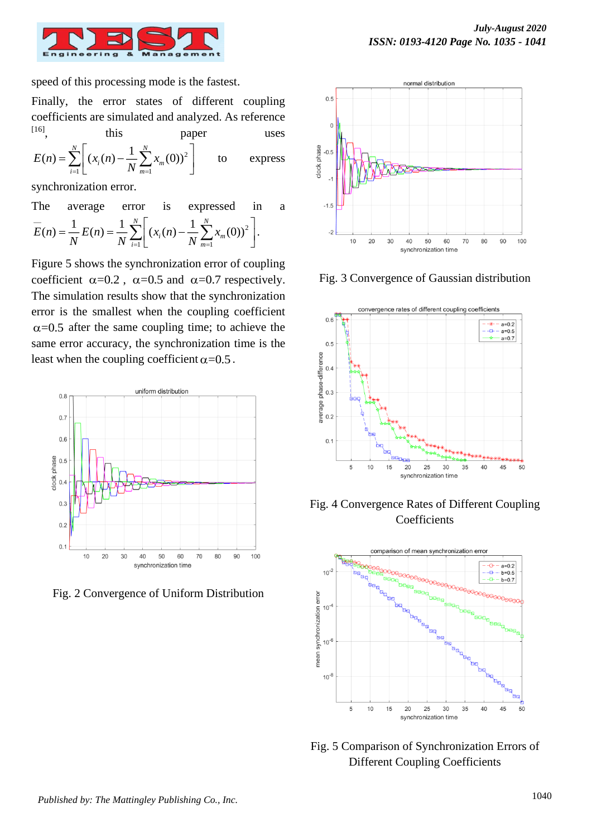

speed of this processing mode is the fastest.

Finally, the error states of different coupling coefficients are simulated and analyzed. As reference  $[16]$ , this paper uses

$$
E(n) = \sum_{i=1}^{N} \left[ (x_i(n) - \frac{1}{N} \sum_{m=1}^{N} x_m(0))^2 \right]
$$
 to express

synchronization error.

The average error is expressed in a  
\n
$$
\overline{E}(n) = \frac{1}{N} E(n) = \frac{1}{N} \sum_{i=1}^{N} \left[ (x_i(n) - \frac{1}{N} \sum_{m=1}^{N} x_m(0))^2 \right].
$$

Figure 5 shows the synchronization error of coupling coefficient  $\alpha=0.2$ ,  $\alpha=0.5$  and  $\alpha=0.7$  respectively. The simulation results show that the synchronization error is the smallest when the coupling coefficient  $\alpha$ =0.5 after the same coupling time; to achieve the same error accuracy, the synchronization time is the least when the coupling coefficient  $\alpha$ =0.5.



Fig. 2 Convergence of Uniform Distribution



Fig. 3 Convergence of Gaussian distribution







Fig. 5 Comparison of Synchronization Errors of Different Coupling Coefficients